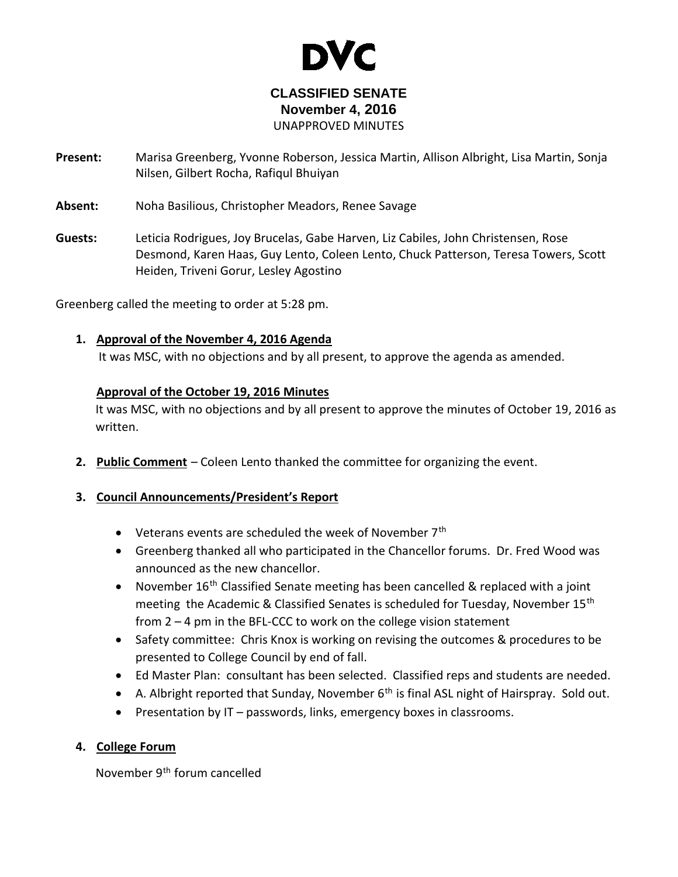

# **CLASSIFIED SENATE November 4, 2016** UNAPPROVED MINUTES

- **Present:** Marisa Greenberg, Yvonne Roberson, Jessica Martin, Allison Albright, Lisa Martin, Sonja Nilsen, Gilbert Rocha, Rafiqul Bhuiyan
- **Absent:** Noha Basilious, Christopher Meadors, Renee Savage
- **Guests:** Leticia Rodrigues, Joy Brucelas, Gabe Harven, Liz Cabiles, John Christensen, Rose Desmond, Karen Haas, Guy Lento, Coleen Lento, Chuck Patterson, Teresa Towers, Scott Heiden, Triveni Gorur, Lesley Agostino

Greenberg called the meeting to order at 5:28 pm.

### 1. Approval of the November 4, 2016 Agenda

It was MSC, with no objections and by all present, to approve the agenda as amended.

### **Approval of the October 19, 2016 Minutes**

It was MSC, with no objections and by all present to approve the minutes of October 19, 2016 as written.

**2.** Public Comment – Coleen Lento thanked the committee for organizing the event.

# **3. Council Announcements/President's Report**

- Veterans events are scheduled the week of November  $7<sup>th</sup>$
- Greenberg thanked all who participated in the Chancellor forums. Dr. Fred Wood was announced as the new chancellor.
- November  $16<sup>th</sup>$  Classified Senate meeting has been cancelled & replaced with a joint meeting the Academic & Classified Senates is scheduled for Tuesday, November 15<sup>th</sup> from 2 – 4 pm in the BFL-CCC to work on the college vision statement
- Safety committee: Chris Knox is working on revising the outcomes & procedures to be presented to College Council by end of fall.
- Ed Master Plan: consultant has been selected. Classified reps and students are needed.
- A. Albright reported that Sunday, November  $6<sup>th</sup>$  is final ASL night of Hairspray. Sold out.
- Presentation by IT passwords, links, emergency boxes in classrooms.

# **4. College Forum**

November 9<sup>th</sup> forum cancelled